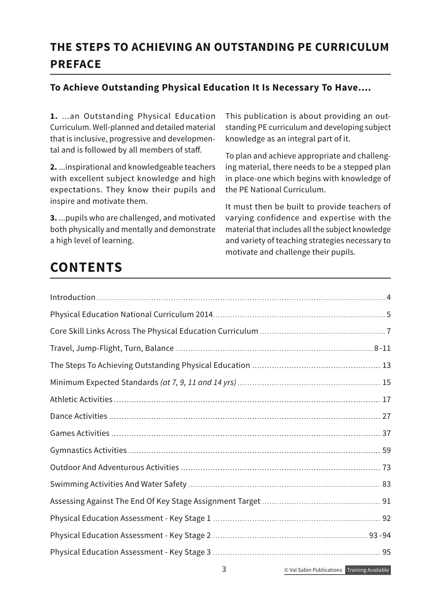## **THE STEPS TO ACHIEVING AN OUTSTANDING PE CURRICULUM PREFACE**

## **To Achieve Outstanding Physical Education It Is Necessary To Have....**

**1.** ...an Outstanding Physical Education Curriculum. Well-planned and detailed material that is inclusive, progressive and developmental and is followed by all members of staff.

**2.** ...inspirational and knowledgeable teachers with excellent subject knowledge and high expectations. They know their pupils and inspire and motivate them.

**3.** ...pupils who are challenged, and motivated both physically and mentally and demonstrate a high level of learning.

This publication is about providing an outstanding PE curriculum and developing subject knowledge as an integral part of it.

To plan and achieve appropriate and challenging material, there needs to be a stepped plan in place-one which begins with knowledge of the PE National Curriculum.

It must then be built to provide teachers of varying confidence and expertise with the material that includes all the subject knowledge and variety of teaching strategies necessary to motivate and challenge their pupils.

## **CONTENTS**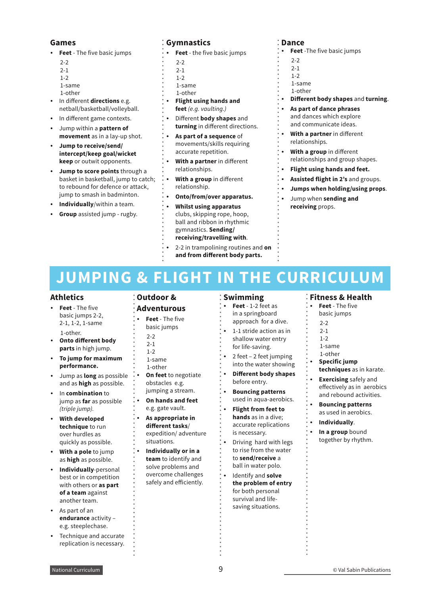#### **Games**

- ʶ **Feet** The five basic jumps
	- $2 2$
	- $2 1$
	- 1-2
	- 1-same
	- 1-other
- ʶ In different **directions** e.g. netball/basketball/volleyball.
- In different game contexts.
- ʶ Jump within a **pattern of movement** as in a lay-up shot.
- ʶ **Jump to receive/send/ intercept/keep goal/wicket keep** or outwit opponents.
- **Jump to score points** through a basket in basketball, jump to catch; to rebound for defence or attack, jump to smash in badminton.
- **Individually/within a team.**
- **Group** assisted jump rugby.

## **Gymnastics**

- **Feet** the five basic jumps
	- $2-2$
- $2 1$
- 1-2
- 1-same
- 1-other
- ʶ **Flight using hands and feet** *(e.g. vaulting.)*
- ʶ Different **body shapes** and **turning** in different directions.
- ʶ **As part of a sequence** of movements/skills requiring accurate repetition.
- ʶ **With a partner** in different relationships.
- ʶ **With a group** in different relationship.
- ʶ **Onto/from/over apparatus.**
	- ʶ **Whilst using apparatus** clubs, skipping rope, hoop, ball and ribbon in rhythmic gymnastics. **Sending/ receiving/travelling with**.
	- ʶ 2-2 in trampolining routines and **on**
	- **and from different body parts.**

### **Dance**

**Feet** -The five basic jumps

- $2 2$
- 2-1
- $1 2$
- 1-same
- 1-other
- ʶ **Different body shapes** and **turning**.
- ʶ **As part of dance phrases** and dances which explore and communicate ideas.
- ʶ **With a partner** in different relationships.
- ʶ **With a group** in different relationships and group shapes.
- ʶ **Flight using hands and feet.**
- ʶ **Assisted flight in 2's** and groups.
- ʶ **Jumps when holding/using props**.
- ʶ Jump when **sending and receiving** props.

# **JUMPING & FLIGHT IN THE CURRICULUM**

#### **Athletics**

- ʶ **Feet** The five basic jumps 2-2, 2-1, 1-2, 1-same 1-other.
- ʶ **Onto different body parts** in high jump.
- ʶ **To jump for maximum performance.**
- ʶ Jump as **long** as possible and as **high** as possible.
- ʶ In **combination** to jump as **far** as possible *(triple jump).*
- ʶ **With developed technique** to run over hurdles as quickly as possible.
- **With a pole** to jump as **high** as possible.
- ʶ **Individually**-personal best or in competition with others or **as part of a team** against another team.
- As part of an **endurance** activity – e.g. steeplechase.
- ʶ Technique and accurate replication is necessary.

#### **Outdoor & Adventurous**

- ʶ **Feet** The five
- basic jumps
- $2 2$
- $2 1$
- 1-2
- 1-same
- 1-other
- **On feet** to negotiate obstacles e.g.
- jumping a stream.
- ʶ **On hands and feet** e.g. gate vault.
- ʶ **As appropriate in different tasks**/ expedition/ adventure situations.
- ʶ **Individually or in a team** to identify and solve problems and overcome challenges safely and efficiently.

### **Swimming**

- ʶ **Feet** 1-2 feet as in a springboard approach for a dive.
- ʶ 1-1 stride action as in shallow water entry for life-saving.
- ʶ 2 feet 2 feet jumping into the water showing
- ʶ **Different body shapes** before entry.
- ʶ **Bouncing patterns** used in aqua-aerobics.
- ʶ **Flight from feet to hands** as in a dive; accurate replications is necessary.
- ʶ Driving hard with legs to rise from the water to **send/receive** a ball in water polo.
- ʶ Identify and **solve the problem of entry** for both personal survival and lifesaving situations.

### **Fitness & Health**

- ʶ **Feet** The five
- basic jumps
- 2-2
- $2 1$
- $1-2$ 1-same
- 1-other
- ʶ **Specific jump**
- **techniques** as in karate.
- **Exercising** safely and effectively as in aerobics and rebound activities.
- ʶ **Bouncing patterns** as used in aerobics.
- ʶ **Individually**.
- ʶ **In a group** bound together by rhythm.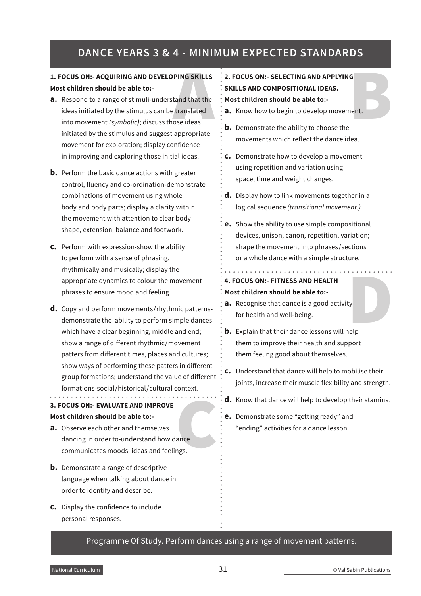## **DANCE YEARS 3 & 4 - MINIMUM EXPECTED STANDARDS**

### **1. FOCUS ON:- ACQUIRING AND DEVELOPING SKILLS Most children should be able to:-**

- **a.** Respond to a range of stimuli-understand that the ideas initiated by the stimulus can be translated into movement *(symbolic)*; discuss those ideas initiated by the stimulus and suggest appropriate movement for exploration; display confidence in improving and exploring those initial ideas.
- **b.** Perform the basic dance actions with greater control, fluency and co-ordination-demonstrate combinations of movement using whole body and body parts; display a clarity within the movement with attention to clear body shape, extension, balance and footwork.
- **c.** Perform with expression-show the ability to perform with a sense of phrasing, rhythmically and musically; display the appropriate dynamics to colour the movement phrases to ensure mood and feeling.
- **d.** Copy and perform movements/rhythmic patternsdemonstrate the ability to perform simple dances which have a clear beginning, middle and end; show a range of different rhythmic/movement patters from different times, places and cultures; show ways of performing these patters in different group formations; understand the value of different formations-social/historical/cultural context.

- **3. FOCUS ON:- EVALUATE AND IMPROVE Most children should be able to:-**
- ance<br>ngs. **a.** Observe each other and themselves dancing in order to-understand how dance communicates moods, ideas and feelings.
- **b.** Demonstrate a range of descriptive language when talking about dance in order to identify and describe.
- **c.** Display the confidence to include personal responses.

# A B **2. FOCUS ON:- SELECTING AND APPLYING SKILLS AND COMPOSITIONAL IDEAS. Most children should be able to:-**

- **a.** Know how to begin to develop movement.
- **b.** Demonstrate the ability to choose the movements which reflect the dance idea.
- **c.** Demonstrate how to develop a movement using repetition and variation using space, time and weight changes.
- **d.** Display how to link movements together in a logical sequence *(transitional movement.)*
- **e.** Show the ability to use simple compositional devices, unison, canon, repetition, variation; shape the movement into phrases/sections or a whole dance with a simple structure.

## **4. FOCUS ON:- FITNESS AND HEALTH Most children should be able to:-**

**a.** Recognise that dance is a good activity for health and well-being.

<u> 1999 - Paris Paris III, martin a fila</u>

- ty<br>nelp<br>next **b.** Explain that their dance lessons will help them to improve their health and support them feeling good about themselves.
- **c.** Understand that dance will help to mobilise their joints, increase their muscle flexibility and strength.
- **d.** Know that dance will help to develop their stamina.
- **e.** Demonstrate some "getting ready" and "ending" activities for a dance lesson.

Programme Of Study. Perform dances using a range of movement patterns.

and a straight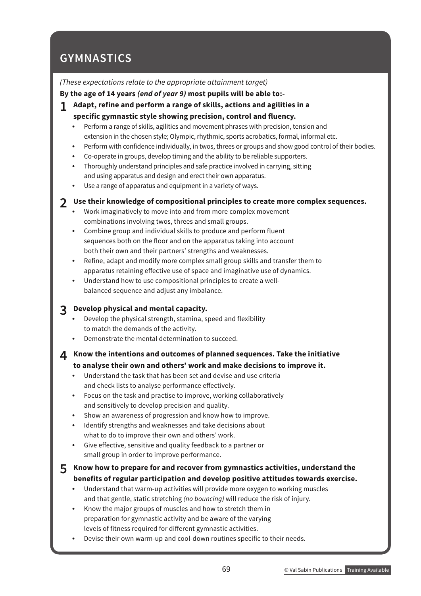## **GYMNASTICS**

### *(These expectations relate to the appropriate attainment target)*

### **By the age of 14 years** *(end of year 9)* **most pupils will be able to:-**

- **1 Adapt, refine and perform a range of skills, actions and agilities in a specific gymnastic style showing precision, control and fluency.**
	- Perform a range of skills, agilities and movement phrases with precision, tension and extension in the chosen style; Olympic, rhythmic, sports acrobatics, formal, informal etc.
	- Perform with confidence individually, in twos, threes or groups and show good control of their bodies.
	- ʶ Co-operate in groups, develop timing and the ability to be reliable supporters.
	- ʶ Thoroughly understand principles and safe practice involved in carrying, sitting and using apparatus and design and erect their own apparatus.
	- Use a range of apparatus and equipment in a variety of ways.

## **2 Use their knowledge of compositional principles to create more complex sequences.**

- ʶ Work imaginatively to move into and from more complex movement combinations involving twos, threes and small groups.
- ʶ Combine group and individual skills to produce and perform fluent sequences both on the floor and on the apparatus taking into account both their own and their partners' strengths and weaknesses.
- ʶ Refine, adapt and modify more complex small group skills and transfer them to apparatus retaining effective use of space and imaginative use of dynamics.
- Understand how to use compositional principles to create a wellbalanced sequence and adjust any imbalance.

## **3 Develop physical and mental capacity.**

- ʶ Develop the physical strength, stamina, speed and flexibility to match the demands of the activity.
- ʶ Demonstrate the mental determination to succeed.
- **4 Know the intentions and outcomes of planned sequences. Take the initiative to analyse their own and others' work and make decisions to improve it.**
	- ʶ Understand the task that has been set and devise and use criteria and check lists to analyse performance effectively.
	- ʶ Focus on the task and practise to improve, working collaboratively and sensitively to develop precision and quality.
	- ʶ Show an awareness of progression and know how to improve.
	- ʶ Identify strengths and weaknesses and take decisions about what to do to improve their own and others' work.
	- ʶ Give effective, sensitive and quality feedback to a partner or small group in order to improve performance.

## **5 Know how to prepare for and recover from gymnastics activities, understand the benefits of regular participation and develop positive attitudes towards exercise.**

- Understand that warm-up activities will provide more oxygen to working muscles and that gentle, static stretching *(no bouncing)* will reduce the risk of injury.
- ʶ Know the major groups of muscles and how to stretch them in preparation for gymnastic activity and be aware of the varying levels of fitness required for different gymnastic activities.
- ʶ Devise their own warm-up and cool-down routines specific to their needs.